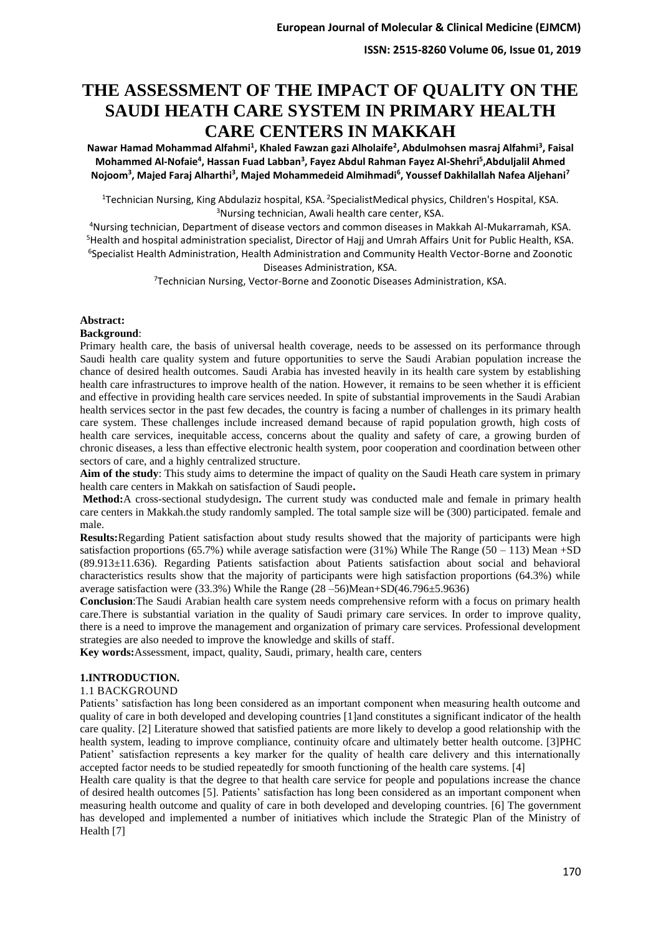# **THE ASSESSMENT OF THE IMPACT OF QUALITY ON THE SAUDI HEATH CARE SYSTEM IN PRIMARY HEALTH CARE CENTERS IN MAKKAH**

**Nawar Hamad Mohammad Alfahmi<sup>1</sup> , Khaled Fawzan gazi Alholaife<sup>2</sup> , Abdulmohsen masraj Alfahmi<sup>3</sup> , Faisal Mohammed Al-Nofaie<sup>4</sup> , Hassan Fuad Labban<sup>3</sup> , Fayez Abdul Rahman Fayez Al-Shehri<sup>5</sup> ,Abduljalil Ahmed Nojoom<sup>3</sup> , Majed Faraj Alharthi<sup>3</sup> , Majed Mohammedeid Almihmadi<sup>6</sup> , Youssef Dakhilallah Nafea Aljehani<sup>7</sup>**

<sup>1</sup>Technician Nursing, King Abdulaziz hospital, KSA. <sup>2</sup>SpecialistMedical physics, Children's Hospital, KSA. <sup>3</sup>Nursing technician, Awali health care center, KSA.

Nursing technician, Department of disease vectors and common diseases in Makkah Al-Mukarramah, KSA. Health and hospital administration specialist, Director of Hajj and Umrah Affairs Unit for Public Health, KSA. Specialist Health Administration, Health Administration and Community Health Vector-Borne and Zoonotic Diseases Administration, KSA.

<sup>7</sup>Technician Nursing, Vector-Borne and Zoonotic Diseases Administration, KSA.

# **Abstract:**

# **Background**:

Primary health care, the basis of universal health coverage, needs to be assessed on its performance through Saudi health care quality system and future opportunities to serve the Saudi Arabian population increase the chance of desired health outcomes. Saudi Arabia has invested heavily in its health care system by establishing health care infrastructures to improve health of the nation. However, it remains to be seen whether it is efficient and effective in providing health care services needed. In spite of substantial improvements in the Saudi Arabian health services sector in the past few decades, the country is facing a number of challenges in its primary health care system. These challenges include increased demand because of rapid population growth, high costs of health care services, inequitable access, concerns about the quality and safety of care, a growing burden of chronic diseases, a less than effective electronic health system, poor cooperation and coordination between other sectors of care, and a highly centralized structure.

**Aim of the study**: This study aims to determine the impact of quality on the Saudi Heath care system in primary health care centers in Makkah on satisfaction of Saudi people**.** 

**Method:**A cross-sectional studydesign**.** The current study was conducted male and female in primary health care centers in Makkah.the study randomly sampled. The total sample size will be (300) participated. female and male.

**Results:**Regarding Patient satisfaction about study results showed that the majority of participants were high satisfaction proportions (65.7%) while average satisfaction were (31%) While The Range (50 – 113) Mean +SD (89.913±11.636). Regarding Patients satisfaction about Patients satisfaction about social and behavioral characteristics results show that the majority of participants were high satisfaction proportions (64.3%) while average satisfaction were (33.3%) While the Range (28 –56)Mean+SD(46.796±5.9636)

**Conclusion**:The Saudi Arabian health care system needs comprehensive reform with a focus on primary health care.There is substantial variation in the quality of Saudi primary care services. In order to improve quality, there is a need to improve the management and organization of primary care services. Professional development strategies are also needed to improve the knowledge and skills of staff.

**Key words:**Assessment, impact, quality, Saudi, primary, health care, centers

# **1.INTRODUCTION.**

## 1.1 BACKGROUND

Patients' satisfaction has long been considered as an important component when measuring health outcome and quality of care in both developed and developing countries [1]and constitutes a significant indicator of the health care quality. [2] Literature showed that satisfied patients are more likely to develop a good relationship with the health system, leading to improve compliance, continuity ofcare and ultimately better health outcome. [3]PHC Patient' satisfaction represents a key marker for the quality of health care delivery and this internationally accepted factor needs to be studied repeatedly for smooth functioning of the health care systems. [4]

Health care quality is that the degree to that health care service for people and populations increase the chance of desired health outcomes [5]. Patients' satisfaction has long been considered as an important component when measuring health outcome and quality of care in both developed and developing countries. [6] The government has developed and implemented a number of initiatives which include the Strategic Plan of the Ministry of Health [7]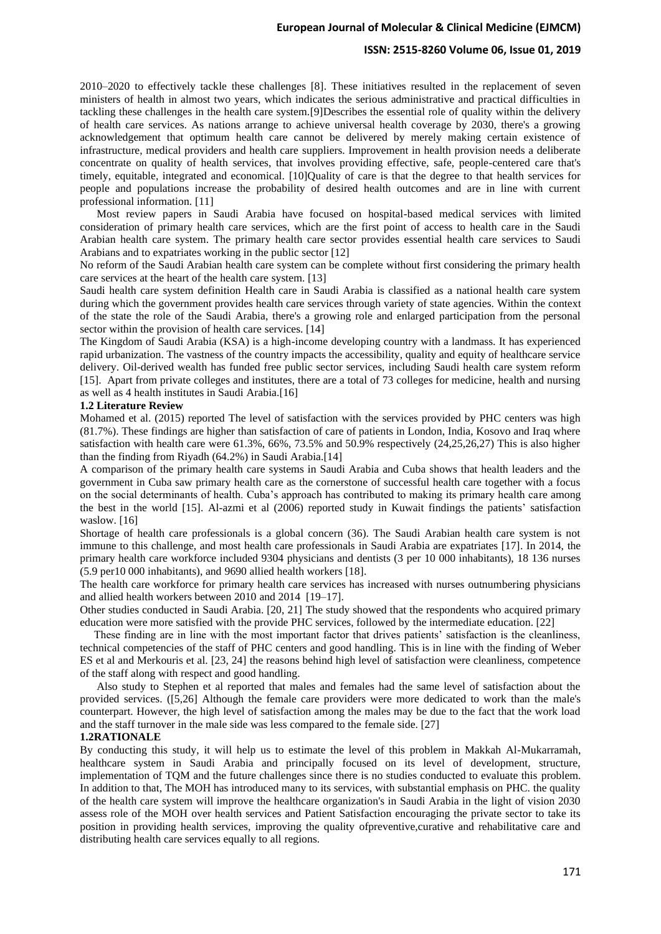#### **ISSN: 2515-8260 Volume 06, Issue 01, 2019**

2010–2020 to effectively tackle these challenges [8]. These initiatives resulted in the replacement of seven ministers of health in almost two years, which indicates the serious administrative and practical difficulties in tackling these challenges in the health care system.[9]Describes the essential role of quality within the delivery of health care services. As nations arrange to achieve universal health coverage by 2030, there's a growing acknowledgement that optimum health care cannot be delivered by merely making certain existence of infrastructure, medical providers and health care suppliers. Improvement in health provision needs a deliberate concentrate on quality of health services, that involves providing effective, safe, people-centered care that's timely, equitable, integrated and economical. [10]Quality of care is that the degree to that health services for people and populations increase the probability of desired health outcomes and are in line with current professional information. [11]

 Most review papers in Saudi Arabia have focused on hospital-based medical services with limited consideration of primary health care services, which are the first point of access to health care in the Saudi Arabian health care system. The primary health care sector provides essential health care services to Saudi Arabians and to expatriates working in the public sector [12]

No reform of the Saudi Arabian health care system can be complete without first considering the primary health care services at the heart of the health care system. [13]

Saudi health care system definition Health care in Saudi Arabia is classified as a national health care system during which the government provides health care services through variety of state agencies. Within the context of the state the role of the Saudi Arabia, there's a growing role and enlarged participation from the personal sector within the provision of health care services. [14]

The Kingdom of Saudi Arabia (KSA) is a high-income developing country with a landmass. It has experienced rapid urbanization. The vastness of the country impacts the accessibility, quality and equity of healthcare service delivery. Oil-derived wealth has funded free public sector services, including Saudi health care system reform [15]. Apart from private colleges and institutes, there are a total of 73 colleges for medicine, health and nursing as well as 4 health institutes in Saudi Arabia.[16]

#### **1.2 Literature Review**

Mohamed et al. (2015) reported The level of satisfaction with the services provided by PHC centers was high (81.7%). These findings are higher than satisfaction of care of patients in London, India, Kosovo and Iraq where satisfaction with health care were 61.3%, 66%, 73.5% and 50.9% respectively (24,25,26,27) This is also higher than the finding from Riyadh  $(64.2\%)$  in Saudi Arabia.[14]

A comparison of the primary health care systems in Saudi Arabia and Cuba shows that health leaders and the government in Cuba saw primary health care as the cornerstone of successful health care together with a focus on the social determinants of health. Cuba's approach has contributed to making its primary health care among the best in the world [15]. Al-azmi et al (2006) reported study in Kuwait findings the patients' satisfaction waslow. [16]

Shortage of health care professionals is a global concern (36). The Saudi Arabian health care system is not immune to this challenge, and most health care professionals in Saudi Arabia are expatriates [17]. In 2014, the primary health care workforce included 9304 physicians and dentists (3 per 10 000 inhabitants), 18 136 nurses (5.9 per10 000 inhabitants), and 9690 allied health workers [18].

The health care workforce for primary health care services has increased with nurses outnumbering physicians and allied health workers between 2010 and 2014 [19–17].

Other studies conducted in Saudi Arabia. [20, 21] The study showed that the respondents who acquired primary education were more satisfied with the provide PHC services, followed by the intermediate education. [22]

 These finding are in line with the most important factor that drives patients' satisfaction is the cleanliness, technical competencies of the staff of PHC centers and good handling. This is in line with the finding of Weber ES et al and Merkouris et al. [23, 24] the reasons behind high level of satisfaction were cleanliness, competence of the staff along with respect and good handling.

 Also study to Stephen et al reported that males and females had the same level of satisfaction about the provided services. ([5,26] Although the female care providers were more dedicated to work than the male's counterpart. However, the high level of satisfaction among the males may be due to the fact that the work load and the staff turnover in the male side was less compared to the female side. [27]

#### **1.2RATIONALE**

By conducting this study, it will help us to estimate the level of this problem in Makkah Al-Mukarramah, healthcare system in Saudi Arabia and principally focused on its level of development, structure, implementation of TQM and the future challenges since there is no studies conducted to evaluate this problem. In addition to that, The MOH has introduced many to its services, with substantial emphasis on PHC. the quality of the health care system will improve the healthcare organization's in Saudi Arabia in the light of vision 2030 assess role of the MOH over health services and Patient Satisfaction encouraging the private sector to take its position in providing health services, improving the quality ofpreventive,curative and rehabilitative care and distributing health care services equally to all regions.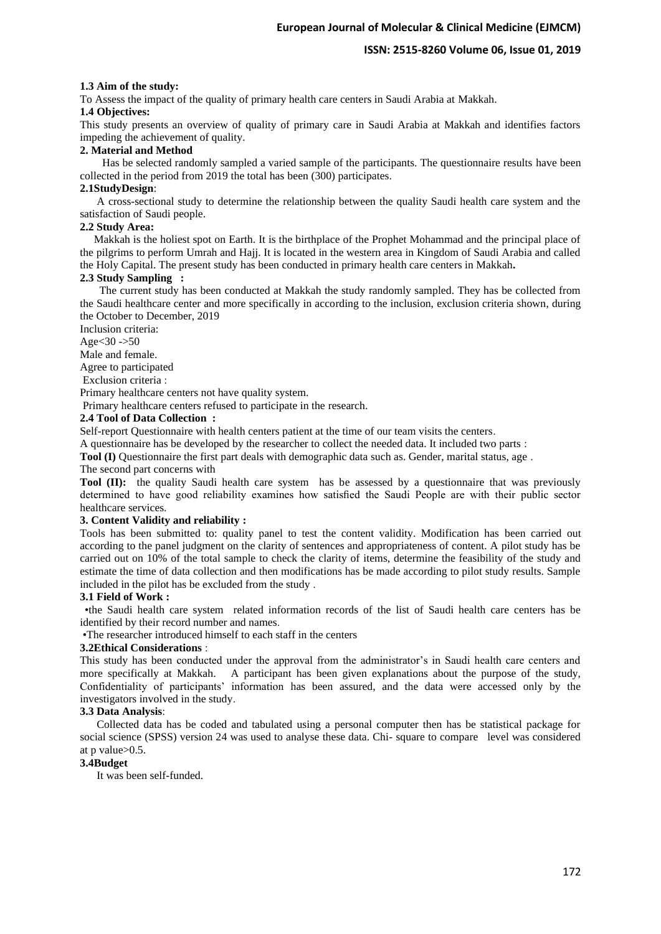## 1.3 Aim of the study:

To Assess the impact of the quality of primary health care centers in Saudi Arabia at Makkah.

# **1.4 Objectives:**

This study presents an overview of quality of primary care in Saudi Arabia at Makkah and identifies factors impeding the achievement of quality.

## **2. Material and Method**

 Has be selected randomly sampled a varied sample of the participants. The questionnaire results have been collected in the period from 2019 the total has been (300) participates.

# **2.1StudyDesign**:

 A cross-sectional study to determine the relationship between the quality Saudi health care system and the satisfaction of Saudi people.

## **2.2 Study Area:**

 Makkah is the holiest spot on Earth. It is the birthplace of the Prophet Mohammad and the principal place of the pilgrims to perform Umrah and Hajj. It is located in the western area in Kingdom of Saudi Arabia and called the Holy Capital. The present study has been conducted in primary health care centers in Makkah**.**

## **2.3 Study Sampling :**

 The current study has been conducted at Makkah the study randomly sampled. They has be collected from the Saudi healthcare center and more specifically in according to the inclusion, exclusion criteria shown, during the October to December, 2019

Inclusion criteria:

Age $<$ 30 ->50

Male and female.

Agree to participated

Exclusion criteria :

Primary healthcare centers not have quality system.

Primary healthcare centers refused to participate in the research.

# **2.4 Tool of Data Collection :**

Self-report Questionnaire with health centers patient at the time of our team visits the centers.

A questionnaire has be developed by the researcher to collect the needed data. It included two parts :

**Tool (I)** Questionnaire the first part deals with demographic data such as. Gender, marital status, age.

The second part concerns with

**Tool (II):** the quality Saudi health care system has be assessed by a questionnaire that was previously determined to have good reliability examines how satisfied the Saudi People are with their public sector healthcare services .

## **3. Content Validity and reliability :**

Tools has been submitted to: quality panel to test the content validity. Modification has been carried out according to the panel judgment on the clarity of sentences and appropriateness of content. A pilot study has be carried out on 10% of the total sample to check the clarity of items, determine the feasibility of the study and estimate the time of data collection and then modifications has be made according to pilot study results. Sample included in the pilot has be excluded from the study .

## **3.1 Field of Work :**

 •the Saudi health care system related information records of the list of Saudi health care centers has be identified by their record number and names.

•The researcher introduced himself to each staff in the centers

## **3.2Ethical Considerations** :

This study has been conducted under the approval from the administrator's in Saudi health care centers and more specifically at Makkah. A participant has been given explanations about the purpose of the study, Confidentiality of participants' information has been assured, and the data were accessed only by the investigators involved in the study.

# **3.3 Data Analysis**:

 Collected data has be coded and tabulated using a personal computer then has be statistical package for social science (SPSS) version 24 was used to analyse these data. Chi- square to compare level was considered at p value>0.5.

## **3.4Budget**

It was been self-funded.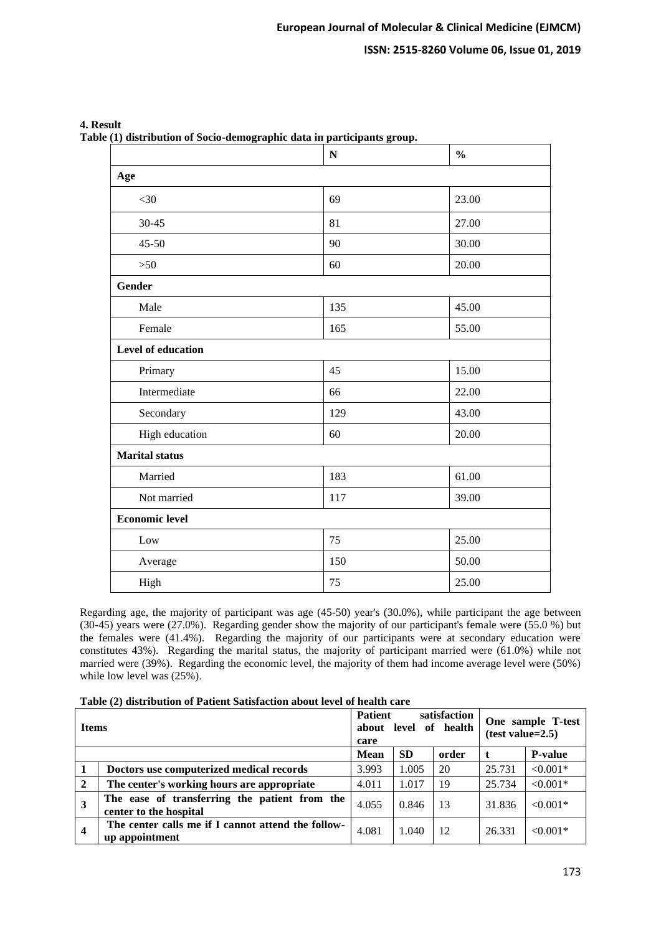|                           | $\mathbf N$ | $\frac{0}{0}$ |
|---------------------------|-------------|---------------|
| Age                       |             |               |
| $<$ 30                    | 69          | 23.00         |
| $30 - 45$                 | 81          | 27.00         |
| $45 - 50$                 | 90          | 30.00         |
| $>50$                     | 60          | 20.00         |
| <b>Gender</b>             |             |               |
| Male                      | 135         | 45.00         |
| Female                    | 165         | 55.00         |
| <b>Level of education</b> |             |               |
| Primary                   | 45          | 15.00         |
| Intermediate              | 66          | 22.00         |
| Secondary                 | 129         | 43.00         |
| High education            | 60          | 20.00         |
| <b>Marital</b> status     |             |               |
| Married                   | 183         | 61.00         |
| Not married               | 117         | 39.00         |
| <b>Economic level</b>     |             |               |
| Low                       | 75          | 25.00         |
| Average                   | 150         | 50.00         |
| High                      | 75          | 25.00         |

**4. Result** 

**Table (1) distribution of Socio-demographic data in participants group.**

Regarding age, the majority of participant was age (45-50) year's (30.0%), while participant the age between (30-45) years were (27.0%). Regarding gender show the majority of our participant's female were (55.0 %) but the females were (41.4%). Regarding the majority of our participants were at secondary education were constitutes 43%). Regarding the marital status, the majority of participant married were (61.0%) while not married were (39%). Regarding the economic level, the majority of them had income average level were (50%) while low level was  $(25\%)$ .

| <b>Items</b>   |                                                                         | <b>Patient</b><br>about<br>care | satisfaction<br>of health<br>level | One sample T-test<br>$(test value=2.5)$ |        |                |
|----------------|-------------------------------------------------------------------------|---------------------------------|------------------------------------|-----------------------------------------|--------|----------------|
|                |                                                                         | <b>Mean</b>                     | <b>SD</b>                          | order                                   | t      | <b>P-value</b> |
| -1             | Doctors use computerized medical records                                | 3.993                           | 1.005                              | 20                                      | 25.731 | $< 0.001*$     |
| $\overline{2}$ | The center's working hours are appropriate                              | 4.011                           | 1.017                              | -19                                     | 25.734 | $< 0.001*$     |
| $\overline{3}$ | The ease of transferring the patient from the<br>center to the hospital | 4.055                           | 0.846                              | 13                                      | 31.836 | $< 0.001*$     |
| $\overline{4}$ | The center calls me if I cannot attend the follow-<br>up appointment    | 4.081                           | 1.040                              | -12                                     | 26.331 | $< 0.001*$     |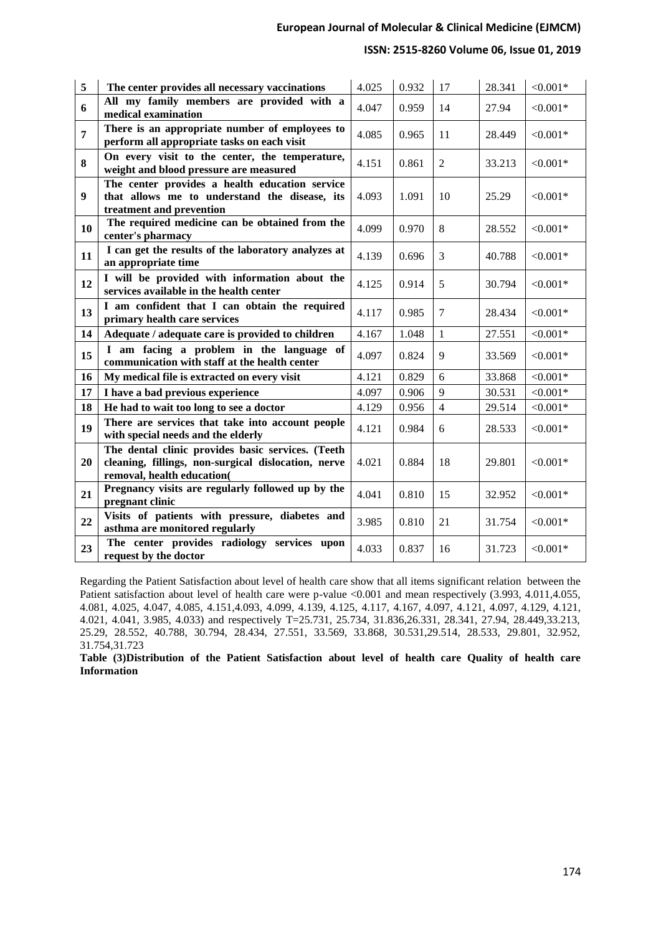# **ISSN: 2515-8260 Volume 06, Issue 01, 2019**

| 5              | The center provides all necessary vaccinations                                                                                         | 4.025 | 0.932 | 17             | 28.341 | ${<}0.001*$ |
|----------------|----------------------------------------------------------------------------------------------------------------------------------------|-------|-------|----------------|--------|-------------|
| 6              | All my family members are provided with a<br>medical examination                                                                       | 4.047 | 0.959 | 14             | 27.94  | $< 0.001*$  |
| $\overline{7}$ | There is an appropriate number of employees to<br>perform all appropriate tasks on each visit                                          | 4.085 | 0.965 | 11             | 28.449 | $< 0.001*$  |
| 8              | On every visit to the center, the temperature,<br>weight and blood pressure are measured                                               | 4.151 | 0.861 | $\overline{2}$ | 33.213 | $< 0.001*$  |
| 9              | The center provides a health education service<br>that allows me to understand the disease, its<br>treatment and prevention            | 4.093 | 1.091 | 10             | 25.29  | $< 0.001*$  |
| 10             | The required medicine can be obtained from the<br>center's pharmacy                                                                    | 4.099 | 0.970 | 8              | 28.552 | $< 0.001*$  |
| 11             | I can get the results of the laboratory analyzes at<br>an appropriate time                                                             | 4.139 | 0.696 | 3              | 40.788 | $< 0.001*$  |
| 12             | I will be provided with information about the<br>services available in the health center                                               | 4.125 | 0.914 | 5              | 30.794 | $< 0.001*$  |
| 13             | I am confident that I can obtain the required<br>primary health care services                                                          | 4.117 | 0.985 | $\tau$         | 28.434 | $< 0.001*$  |
| 14             | Adequate / adequate care is provided to children                                                                                       | 4.167 | 1.048 | $\mathbf{1}$   | 27.551 | $< 0.001*$  |
| 15             | I am facing a problem in the language of<br>communication with staff at the health center                                              | 4.097 | 0.824 | 9              | 33.569 | $< 0.001*$  |
| 16             | My medical file is extracted on every visit                                                                                            | 4.121 | 0.829 | 6              | 33.868 | $< 0.001*$  |
| 17             | I have a bad previous experience                                                                                                       | 4.097 | 0.906 | 9              | 30.531 | $< 0.001*$  |
| 18             | He had to wait too long to see a doctor                                                                                                | 4.129 | 0.956 | $\overline{4}$ | 29.514 | $< 0.001*$  |
| 19             | There are services that take into account people<br>with special needs and the elderly                                                 | 4.121 | 0.984 | 6              | 28.533 | $< 0.001*$  |
| 20             | The dental clinic provides basic services. (Teeth<br>cleaning, fillings, non-surgical dislocation, nerve<br>removal, health education( | 4.021 | 0.884 | 18             | 29.801 | $< 0.001*$  |
| 21             | Pregnancy visits are regularly followed up by the<br>pregnant clinic                                                                   | 4.041 | 0.810 | 15             | 32.952 | $< 0.001*$  |
| 22             | Visits of patients with pressure, diabetes and<br>asthma are monitored regularly                                                       | 3.985 | 0.810 | 21             | 31.754 | $< 0.001*$  |
| 23             | The center provides radiology services upon<br>request by the doctor                                                                   | 4.033 | 0.837 | 16             | 31.723 | $< 0.001*$  |

Regarding the Patient Satisfaction about level of health care show that all items significant relation between the Patient satisfaction about level of health care were p-value <0.001 and mean respectively (3.993, 4.011,4.055, 4.081, 4.025, 4.047, 4.085, 4.151,4.093, 4.099, 4.139, 4.125, 4.117, 4.167, 4.097, 4.121, 4.097, 4.129, 4.121, 4.021, 4.041, 3.985, 4.033) and respectively T=25.731, 25.734, 31.836,26.331, 28.341, 27.94, 28.449,33.213, 25.29, 28.552, 40.788, 30.794, 28.434, 27.551, 33.569, 33.868, 30.531,29.514, 28.533, 29.801, 32.952, 31.754,31.723

**Table (3)Distribution of the Patient Satisfaction about level of health care Quality of health care Information**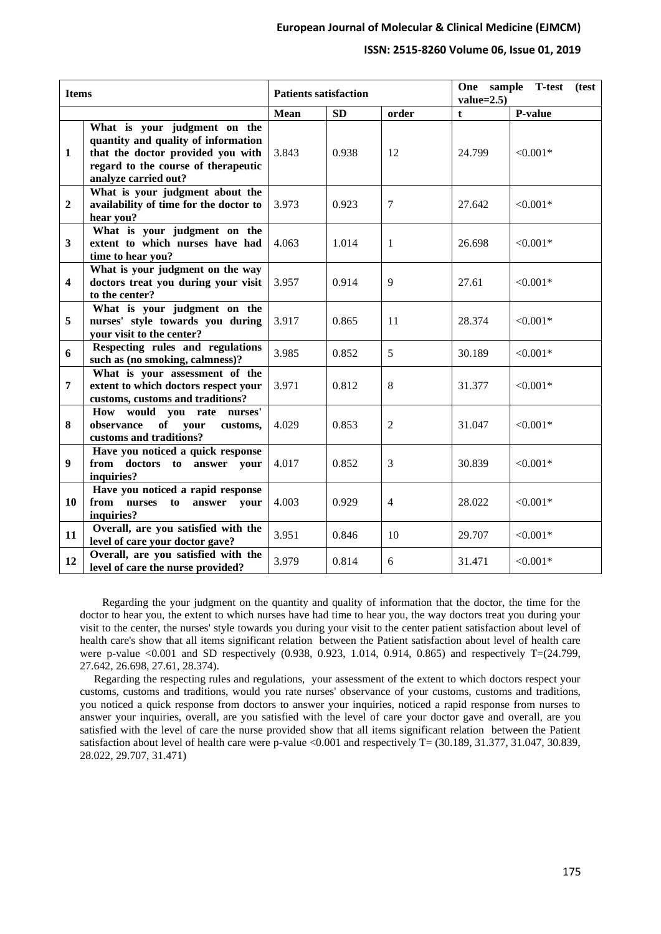## **ISSN: 2515-8260 Volume 06, Issue 01, 2019**

| <b>Items</b>            |                                                                                                                                                                         |             | <b>Patients satisfaction</b> |                | sample T-test<br>One<br>(test<br>$value=2.5$ |            |  |
|-------------------------|-------------------------------------------------------------------------------------------------------------------------------------------------------------------------|-------------|------------------------------|----------------|----------------------------------------------|------------|--|
|                         |                                                                                                                                                                         | <b>Mean</b> | <b>SD</b>                    | order          | $\mathbf{t}$                                 | P-value    |  |
| $\mathbf{1}$            | What is your judgment on the<br>quantity and quality of information<br>that the doctor provided you with<br>regard to the course of therapeutic<br>analyze carried out? | 3.843       | 0.938                        | 12             | 24.799                                       | $< 0.001*$ |  |
| $\overline{2}$          | What is your judgment about the<br>availability of time for the doctor to<br>hear you?                                                                                  | 3.973       | 0.923                        | $\tau$         | 27.642                                       | $< 0.001*$ |  |
| $\mathbf{3}$            | What is your judgment on the<br>extent to which nurses have had<br>time to hear you?                                                                                    | 4.063       | 1.014                        | $\mathbf{1}$   | 26.698                                       | $< 0.001*$ |  |
| $\overline{\mathbf{4}}$ | What is your judgment on the way<br>doctors treat you during your visit<br>to the center?                                                                               | 3.957       | 0.914                        | $\mathbf{Q}$   | 27.61                                        | $< 0.001*$ |  |
| 5                       | What is your judgment on the<br>nurses' style towards you during<br>your visit to the center?                                                                           | 3.917       | 0.865                        | 11             | 28.374                                       | $< 0.001*$ |  |
| 6                       | Respecting rules and regulations<br>such as (no smoking, calmness)?                                                                                                     | 3.985       | 0.852                        | 5              | 30.189                                       | $< 0.001*$ |  |
| $\overline{7}$          | What is your assessment of the<br>extent to which doctors respect your<br>customs, customs and traditions?                                                              | 3.971       | 0.812                        | 8              | 31.377                                       | $< 0.001*$ |  |
| 8                       | How would you rate nurses'<br>of your<br>observance<br>customs,<br>customs and traditions?                                                                              | 4.029       | 0.853                        | $\overline{2}$ | 31.047                                       | $< 0.001*$ |  |
| 9                       | Have you noticed a quick response<br>answer your<br>from doctors to<br>inquiries?                                                                                       | 4.017       | 0.852                        | 3              | 30.839                                       | $< 0.001*$ |  |
| 10                      | Have you noticed a rapid response<br>from nurses<br>to<br>answer your<br>inquiries?                                                                                     | 4.003       | 0.929                        | $\overline{4}$ | 28.022                                       | $< 0.001*$ |  |
| 11                      | Overall, are you satisfied with the<br>level of care your doctor gave?                                                                                                  | 3.951       | 0.846                        | 10             | 29.707                                       | $< 0.001*$ |  |
| 12                      | Overall, are you satisfied with the<br>level of care the nurse provided?                                                                                                | 3.979       | 0.814                        | 6              | 31.471                                       | $< 0.001*$ |  |

 Regarding the your judgment on the quantity and quality of information that the doctor, the time for the doctor to hear you, the extent to which nurses have had time to hear you, the way doctors treat you during your visit to the center, the nurses' style towards you during your visit to the center patient satisfaction about level of health care's show that all items significant relation between the Patient satisfaction about level of health care were p-value <0.001 and SD respectively (0.938, 0.923, 1.014, 0.914, 0.865) and respectively T=(24.799, 27.642, 26.698, 27.61, 28.374).

 Regarding the respecting rules and regulations, your assessment of the extent to which doctors respect your customs, customs and traditions, would you rate nurses' observance of your customs, customs and traditions, you noticed a quick response from doctors to answer your inquiries, noticed a rapid response from nurses to answer your inquiries, overall, are you satisfied with the level of care your doctor gave and overall, are you satisfied with the level of care the nurse provided show that all items significant relation between the Patient satisfaction about level of health care were p-value <0.001 and respectively T= (30.189, 31.377, 31.047, 30.839, 28.022, 29.707, 31.471)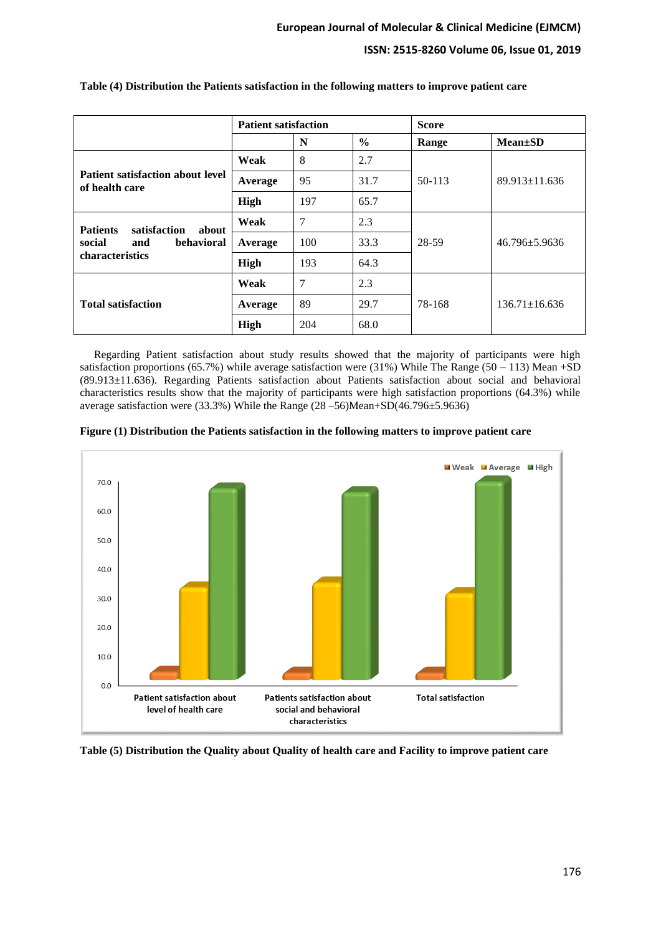|                                                           | <b>Patient satisfaction</b> |     |               | <b>Score</b> |                     |  |
|-----------------------------------------------------------|-----------------------------|-----|---------------|--------------|---------------------|--|
|                                                           |                             | N   | $\frac{0}{0}$ | Range        | $Mean \pm SD$       |  |
|                                                           | Weak                        | 8   | 2.7           |              | $89.913 \pm 11.636$ |  |
| <b>Patient satisfaction about level</b><br>of health care | Average                     | 95  | 31.7          | 50-113       |                     |  |
|                                                           | High                        | 197 | 65.7          |              |                     |  |
| <b>Patients</b><br>satisfaction<br>about                  | Weak                        | 7   | 2.3           |              |                     |  |
| social<br>behavioral<br>and                               | Average                     | 100 | 33.3          | 28-59        | $46.796 + 5.9636$   |  |
| <b>characteristics</b>                                    | High                        | 193 | 64.3          |              |                     |  |
|                                                           | Weak                        | 7   | 2.3           |              |                     |  |
| <b>Total satisfaction</b>                                 | Average                     | 89  | 29.7          | 78-168       | $136.71 \pm 16.636$ |  |
|                                                           | High                        | 204 | 68.0          |              |                     |  |

## **Table (4) Distribution the Patients satisfaction in the following matters to improve patient care**

 Regarding Patient satisfaction about study results showed that the majority of participants were high satisfaction proportions (65.7%) while average satisfaction were (31%) While The Range (50 – 113) Mean +SD (89.913±11.636). Regarding Patients satisfaction about Patients satisfaction about social and behavioral characteristics results show that the majority of participants were high satisfaction proportions (64.3%) while average satisfaction were (33.3%) While the Range (28 –56)Mean+SD(46.796±5.9636)





**Table (5) Distribution the Quality about Quality of health care and Facility to improve patient care**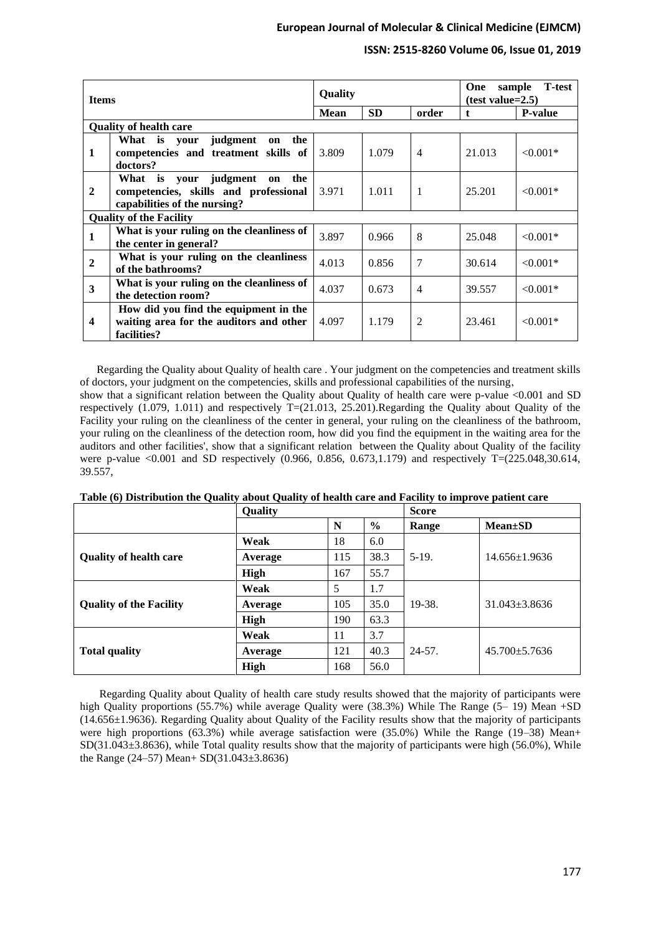# **ISSN: 2515-8260 Volume 06, Issue 01, 2019**

| <b>Items</b>     |                                                                                                             | Quality |           |                | <b>T</b> -test<br>One<br>sample<br>$(test value=2.5)$ |                |
|------------------|-------------------------------------------------------------------------------------------------------------|---------|-----------|----------------|-------------------------------------------------------|----------------|
|                  |                                                                                                             |         | <b>SD</b> | order          | t                                                     | <b>P-value</b> |
|                  | <b>Quality of health care</b>                                                                               |         |           |                |                                                       |                |
| 1                | What is your judgment<br>the<br>on<br>competencies and treatment skills of<br>doctors?                      | 3.809   | 1.079     | $\overline{4}$ | 21.013                                                | $< 0.001*$     |
| $\overline{2}$   | the<br>What is your judgment<br>on<br>competencies, skills and professional<br>capabilities of the nursing? | 3.971   | 1.011     | 1              | 25.201                                                | $< 0.001*$     |
|                  | <b>Ouality of the Facility</b>                                                                              |         |           |                |                                                       |                |
| $\mathbf{1}$     | What is your ruling on the cleanliness of<br>the center in general?                                         | 3.897   | 0.966     | 8              | 25.048                                                | $< 0.001*$     |
| $\overline{2}$   | What is your ruling on the cleanliness<br>of the bathrooms?                                                 | 4.013   | 0.856     | 7              | 30.614                                                | $< 0.001*$     |
| 3                | What is your ruling on the cleanliness of<br>the detection room?                                            | 4.037   | 0.673     | $\overline{4}$ | 39.557                                                | $< 0.001*$     |
| $\boldsymbol{4}$ | How did you find the equipment in the<br>waiting area for the auditors and other<br>facilities?             | 4.097   | 1.179     | $\overline{2}$ | 23.461                                                | $< 0.001*$     |

 Regarding the Quality about Quality of health care . Your judgment on the competencies and treatment skills of doctors, your judgment on the competencies, skills and professional capabilities of the nursing , show that a significant relation between the Quality about Quality of health care were p-value <0.001 and SD respectively  $(1.079, 1.011)$  and respectively T= $(21.013, 25.201)$ .Regarding the Quality about Quality of the Facility your ruling on the cleanliness of the center in general, your ruling on the cleanliness of the bathroom, your ruling on the cleanliness of the detection room, how did you find the equipment in the waiting area for the

auditors and other facilities', show that a significant relation between the Quality about Quality of the facility were p-value <0.001 and SD respectively  $(0.966, 0.856, 0.673, 1.179)$  and respectively T=(225.048,30.614, 39.557,

|                                | Quality |     |               | <b>Score</b> |                     |  |
|--------------------------------|---------|-----|---------------|--------------|---------------------|--|
|                                |         | N   | $\frac{6}{6}$ | Range        | <b>Mean</b> ±SD     |  |
|                                | Weak    | 18  | 6.0           |              |                     |  |
| <b>Quality of health care</b>  | Average | 115 | 38.3          | $5-19.$      | $14.656 \pm 1.9636$ |  |
|                                | High    | 167 | 55.7          |              |                     |  |
|                                | Weak    | 5   | 1.7           |              |                     |  |
| <b>Quality of the Facility</b> | Average | 105 | 35.0          | 19-38.       | $31.043 + 3.8636$   |  |
|                                | High    | 190 | 63.3          |              |                     |  |
|                                | Weak    | 11  | 3.7           |              | $45.700 + 5.7636$   |  |
| <b>Total quality</b>           | Average | 121 | 40.3          | $24 - 57$ .  |                     |  |
|                                | High    | 168 | 56.0          |              |                     |  |

 Regarding Quality about Quality of health care study results showed that the majority of participants were high Quality proportions (55.7%) while average Quality were (38.3%) While The Range (5– 19) Mean +SD (14.656±1.9636). Regarding Quality about Quality of the Facility results show that the majority of participants were high proportions (63.3%) while average satisfaction were (35.0%) While the Range (19–38) Mean+  $SD(31.043\pm3.8636)$ , while Total quality results show that the majority of participants were high (56.0%), While the Range (24–57) Mean+ SD(31.043±3.8636)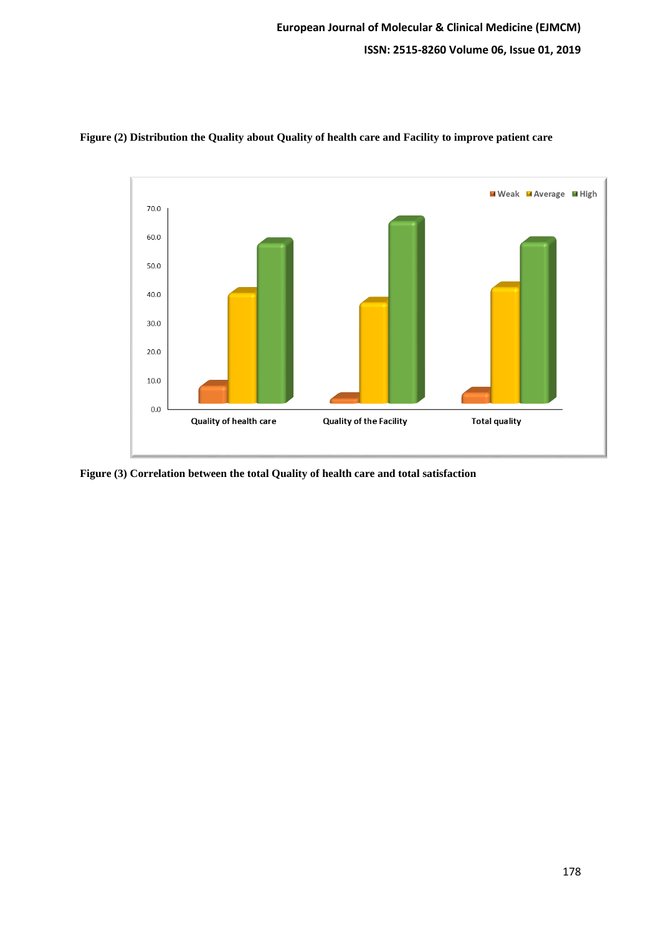

**Figure (2) Distribution the Quality about Quality of health care and Facility to improve patient care**

**Figure (3) Correlation between the total Quality of health care and total satisfaction**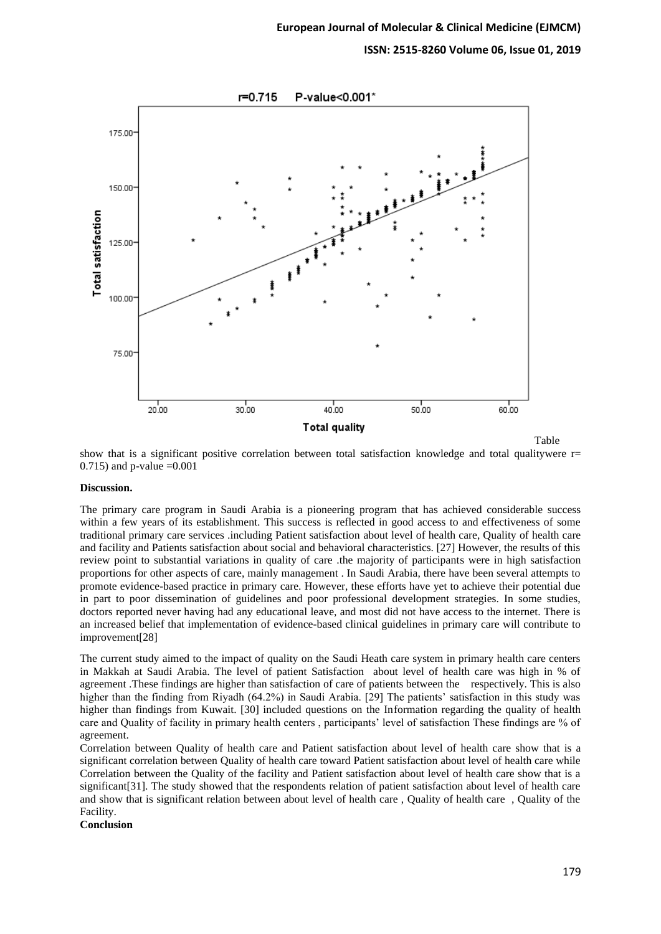

show that is a significant positive correlation between total satisfaction knowledge and total qualitywere r= 0.715) and p-value  $=0.001$ 

#### Discussion.

The primary care program in Saudi Arabia is a pioneering program that has achieved considerable success within a few years of its establishment. This success is reflected in good access to and effectiveness of some traditional primary care services .including Patient satisfaction about level of health care, Quality of health care and facility and Patients satisfaction about social and behavioral characteristics. [27] However, the results of this review point to substantial variations in quality of care .the majority of participants were in high satisfaction proportions for other aspects of care, mainly management . In Saudi Arabia, there have been several attempts to promote evidence-based practice in primary care. However, these efforts have yet to achieve their potential due in part to poor dissemination of guidelines and poor professional development strategies. In some studies, doctors reported never having had any educational leave, and most did not have access to the internet. There is an increased belief that implementation of evidence-based clinical guidelines in primary care will contribute to improvement[28]

The current study aimed to the impact of quality on the Saudi Heath care system in primary health care centers in Makkah at Saudi Arabia. The level of patient Satisfaction about level of health care was high in % of agreement .These findings are higher than satisfaction of care of patients between the respectively. This is also higher than the finding from Riyadh (64.2%) in Saudi Arabia. [29] The patients' satisfaction in this study was higher than findings from Kuwait. [30] included questions on the Information regarding the quality of health care and Quality of facility in primary health centers , participants' level of satisfaction These findings are % of agreement.

Correlation between Quality of health care and Patient satisfaction about level of health care show that is a significant correlation between Quality of health care toward Patient satisfaction about level of health care while Correlation between the Quality of the facility and Patient satisfaction about level of health care show that is a significant[31]. The study showed that the respondents relation of patient satisfaction about level of health care and show that is significant relation between about level of health care , Quality of health care , Quality of the Facility.

**Conclusion**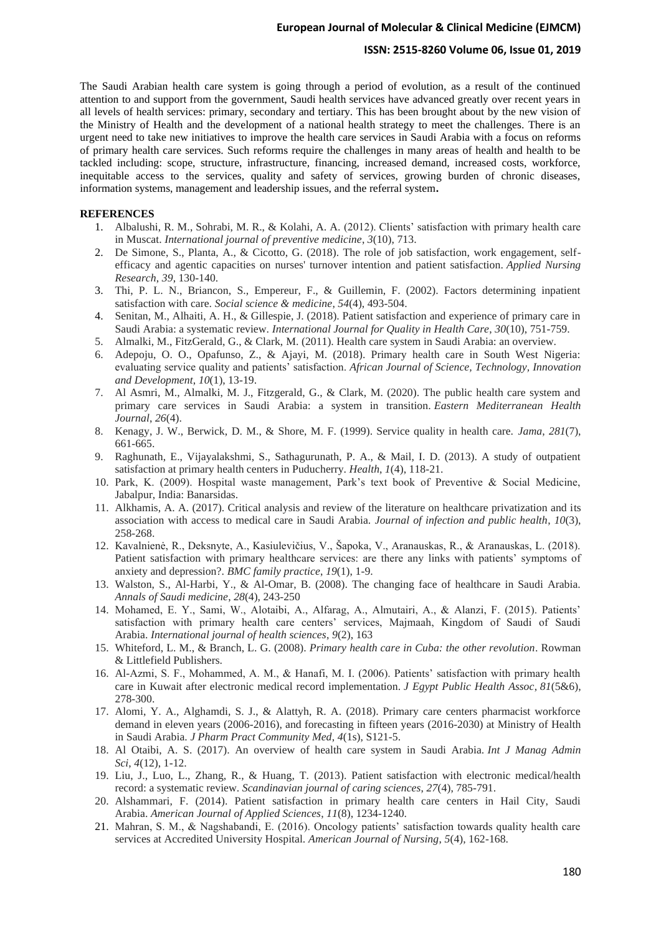#### **ISSN: 2515-8260 Volume 06, Issue 01, 2019**

The Saudi Arabian health care system is going through a period of evolution, as a result of the continued attention to and support from the government, Saudi health services have advanced greatly over recent years in all levels of health services: primary, secondary and tertiary. This has been brought about by the new vision of the Ministry of Health and the development of a national health strategy to meet the challenges. There is an urgent need to take new initiatives to improve the health care services in Saudi Arabia with a focus on reforms of primary health care services. Such reforms require the challenges in many areas of health and health to be tackled including: scope, structure, infrastructure, financing, increased demand, increased costs, workforce, inequitable access to the services, quality and safety of services, growing burden of chronic diseases, information systems, management and leadership issues, and the referral system**.**

# **REFERENCES**

- 1. Albalushi, R. M., Sohrabi, M. R., & Kolahi, A. A. (2012). Clients' satisfaction with primary health care in Muscat. *International journal of preventive medicine*, *3*(10), 713.
- 2. De Simone, S., Planta, A., & Cicotto, G. (2018). The role of job satisfaction, work engagement, selfefficacy and agentic capacities on nurses' turnover intention and patient satisfaction. *Applied Nursing Research*, *39*, 130-140.
- 3. Thi, P. L. N., Briancon, S., Empereur, F., & Guillemin, F. (2002). Factors determining inpatient satisfaction with care. *Social science & medicine*, *54*(4), 493-504.
- 4. Senitan, M., Alhaiti, A. H., & Gillespie, J. (2018). Patient satisfaction and experience of primary care in Saudi Arabia: a systematic review. *International Journal for Quality in Health Care*, *30*(10), 751-759.
- 5. Almalki, M., FitzGerald, G., & Clark, M. (2011). Health care system in Saudi Arabia: an overview.
- 6. Adepoju, O. O., Opafunso, Z., & Ajayi, M. (2018). Primary health care in South West Nigeria: evaluating service quality and patients' satisfaction. *African Journal of Science, Technology, Innovation and Development*, *10*(1), 13-19.
- 7. Al Asmri, M., Almalki, M. J., Fitzgerald, G., & Clark, M. (2020). The public health care system and primary care services in Saudi Arabia: a system in transition. *Eastern Mediterranean Health Journal*, *26*(4).
- 8. Kenagy, J. W., Berwick, D. M., & Shore, M. F. (1999). Service quality in health care. *Jama*, *281*(7), 661-665.
- 9. Raghunath, E., Vijayalakshmi, S., Sathagurunath, P. A., & Mail, I. D. (2013). A study of outpatient satisfaction at primary health centers in Puducherry. *Health*, *1*(4), 118-21.
- 10. Park, K. (2009). Hospital waste management, Park's text book of Preventive & Social Medicine, Jabalpur, India: Banarsidas.
- 11. Alkhamis, A. A. (2017). Critical analysis and review of the literature on healthcare privatization and its association with access to medical care in Saudi Arabia. *Journal of infection and public health*, *10*(3), 258-268.
- 12. Kavalnienė, R., Deksnyte, A., Kasiulevičius, V., Šapoka, V., Aranauskas, R., & Aranauskas, L. (2018). Patient satisfaction with primary healthcare services: are there any links with patients' symptoms of anxiety and depression?. *BMC family practice*, *19*(1), 1-9.
- 13. Walston, S., Al-Harbi, Y., & Al-Omar, B. (2008). The changing face of healthcare in Saudi Arabia. *Annals of Saudi medicine*, *28*(4), 243-250
- 14. Mohamed, E. Y., Sami, W., Alotaibi, A., Alfarag, A., Almutairi, A., & Alanzi, F. (2015). Patients' satisfaction with primary health care centers' services, Majmaah, Kingdom of Saudi of Saudi Arabia. *International journal of health sciences*, *9*(2), 163
- 15. Whiteford, L. M., & Branch, L. G. (2008). *Primary health care in Cuba: the other revolution*. Rowman & Littlefield Publishers.
- 16. Al-Azmi, S. F., Mohammed, A. M., & Hanafi, M. I. (2006). Patients' satisfaction with primary health care in Kuwait after electronic medical record implementation. *J Egypt Public Health Assoc*, *81*(5&6), 278-300.
- 17. Alomi, Y. A., Alghamdi, S. J., & Alattyh, R. A. (2018). Primary care centers pharmacist workforce demand in eleven years (2006-2016), and forecasting in fifteen years (2016-2030) at Ministry of Health in Saudi Arabia. *J Pharm Pract Community Med*, *4*(1s), S121-5.
- 18. Al Otaibi, A. S. (2017). An overview of health care system in Saudi Arabia. *Int J Manag Admin Sci*, *4*(12), 1-12.
- 19. Liu, J., Luo, L., Zhang, R., & Huang, T. (2013). Patient satisfaction with electronic medical/health record: a systematic review. *Scandinavian journal of caring sciences*, *27*(4), 785-791.
- 20. Alshammari, F. (2014). Patient satisfaction in primary health care centers in Hail City, Saudi Arabia. *American Journal of Applied Sciences*, *11*(8), 1234-1240.
- 21. Mahran, S. M., & Nagshabandi, E. (2016). Oncology patients' satisfaction towards quality health care services at Accredited University Hospital. *American Journal of Nursing*, *5*(4), 162-168.